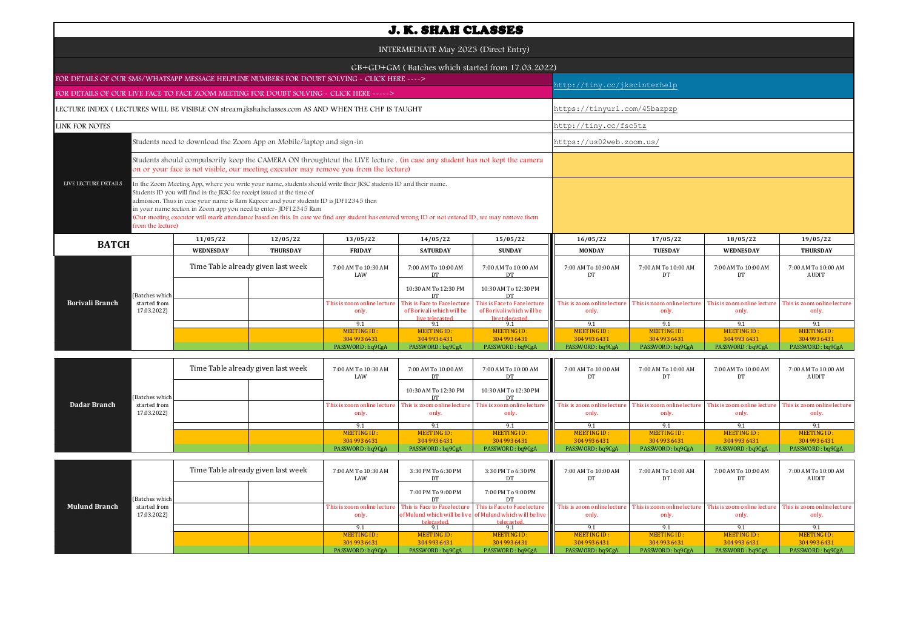|                                                                                                   |                             |                                                                         |                                                                                                                                                                                                                                                                                                                                                                                                                                  |                                      | <b>J. K. SHAH CLASSES</b>                                                    |                                                                              |                                      |                                      |                                      |                                      |  |  |
|---------------------------------------------------------------------------------------------------|-----------------------------|-------------------------------------------------------------------------|----------------------------------------------------------------------------------------------------------------------------------------------------------------------------------------------------------------------------------------------------------------------------------------------------------------------------------------------------------------------------------------------------------------------------------|--------------------------------------|------------------------------------------------------------------------------|------------------------------------------------------------------------------|--------------------------------------|--------------------------------------|--------------------------------------|--------------------------------------|--|--|
|                                                                                                   |                             |                                                                         |                                                                                                                                                                                                                                                                                                                                                                                                                                  |                                      | INTERMEDIATE May 2023 (Direct Entry)                                         |                                                                              |                                      |                                      |                                      |                                      |  |  |
|                                                                                                   |                             |                                                                         |                                                                                                                                                                                                                                                                                                                                                                                                                                  |                                      |                                                                              | GB+GD+GM (Batches which started from 17.03.2022)                             |                                      |                                      |                                      |                                      |  |  |
| FOR DETAILS OF OUR SMS/WHATSAPP MESSAGE HELPLINE NUMBERS FOR DOUBT SOLVING - CLICK HERE ---->     |                             |                                                                         |                                                                                                                                                                                                                                                                                                                                                                                                                                  |                                      |                                                                              |                                                                              |                                      |                                      |                                      |                                      |  |  |
| FOR DETAILS OF OUR LIVE FACE TO FACE ZOOM MEETING FOR DOUBT SOLVING - CLICK HERE ----->           |                             |                                                                         |                                                                                                                                                                                                                                                                                                                                                                                                                                  |                                      |                                                                              |                                                                              | http://tiny.cc/jkscinterhelp         |                                      |                                      |                                      |  |  |
|                                                                                                   |                             |                                                                         |                                                                                                                                                                                                                                                                                                                                                                                                                                  |                                      |                                                                              |                                                                              |                                      |                                      |                                      |                                      |  |  |
| LECTURE INDEX (LECTURES WILL BE VISIBLE ON stream.jkshahclasses.com AS AND WHEN THE CHP IS TAUGHT |                             |                                                                         |                                                                                                                                                                                                                                                                                                                                                                                                                                  |                                      |                                                                              |                                                                              |                                      | https://tinyurl.com/45bazpzp         |                                      |                                      |  |  |
| LINK FOR NOTES                                                                                    |                             |                                                                         |                                                                                                                                                                                                                                                                                                                                                                                                                                  |                                      |                                                                              |                                                                              |                                      | http://tiny.cc/fsc5tz                |                                      |                                      |  |  |
| Students need to download the Zoom App on Mobile/laptop and sign-in                               |                             |                                                                         |                                                                                                                                                                                                                                                                                                                                                                                                                                  |                                      |                                                                              |                                                                              |                                      | https://us02web.zoom.us/             |                                      |                                      |  |  |
|                                                                                                   |                             |                                                                         | Students should compulsorily keep the CAMERA ON throughtout the LIVE lecture . (in case any student has not kept the camera<br>on or your face is not visible, our meeting executor may remove you from the lecture)                                                                                                                                                                                                             |                                      |                                                                              |                                                                              |                                      |                                      |                                      |                                      |  |  |
| LIVE LECTURE DETAILS                                                                              | from the lecture)           | Students ID you will find in the JKSC fee receipt issued at the time of | In the Zoom Meeting App, where you write your name, students should write their JKSC students ID and their name.<br>admission. Thus in case your name is Ram Kapoor and your students ID is JDF12345 then<br>in your name section in Zoom app you need to enter-JDF12345 Ram<br>(Our meeting executor will mark attendance based on this. In case we find any student has entered wrong ID or not entered ID, we may remove them |                                      |                                                                              |                                                                              |                                      |                                      |                                      |                                      |  |  |
| <b>BATCH</b>                                                                                      |                             | 11/05/22                                                                | 12/05/22                                                                                                                                                                                                                                                                                                                                                                                                                         | 13/05/22                             | 14/05/22                                                                     | 15/05/22                                                                     | 16/05/22                             | 17/05/22                             | 18/05/22                             | 19/05/22                             |  |  |
|                                                                                                   |                             | <b>WEDNESDAY</b>                                                        | <b>THURSDAY</b>                                                                                                                                                                                                                                                                                                                                                                                                                  | <b>FRIDAY</b>                        | <b>SATURDAY</b>                                                              | <b>SUNDAY</b>                                                                | <b>MONDAY</b>                        | <b>TUESDAY</b>                       | <b>WEDNESDAY</b>                     | <b>THURSDAY</b>                      |  |  |
|                                                                                                   |                             | Time Table already given last week                                      |                                                                                                                                                                                                                                                                                                                                                                                                                                  | 7:00 AM To 10:30 AM<br>LAW           | 7:00 AM To 10:00 AM<br>DT                                                    | 7:00 AM To 10:00 AM<br>DT                                                    | 7:00 AM To 10:00 AM<br>DT            | 7:00 AM To 10:00 AM<br>DT            | 7:00 AM To 10:00 AM<br>DT            | 7:00 AM To 10:00 AM<br>AUDIT         |  |  |
|                                                                                                   | Batches which               |                                                                         |                                                                                                                                                                                                                                                                                                                                                                                                                                  |                                      | 10:30 AM To 12:30 PM<br>DT                                                   | 10:30 AM To 12:30 PM<br>DT                                                   |                                      |                                      |                                      |                                      |  |  |
| Borivali Branch                                                                                   | started from<br>17.03.2022) |                                                                         |                                                                                                                                                                                                                                                                                                                                                                                                                                  | This is zoom online lecture<br>only. | This is Face to Face lecture<br>of Borivali which will be<br>live telecaster | This is Face to Face lecture<br>of Borivali which will be<br>live telecaster | This is zoom online lecture<br>only. | This is zoom online lecture<br>only. | This is zoom online lecture<br>only. | This is zoom online lecture<br>only. |  |  |
|                                                                                                   |                             |                                                                         |                                                                                                                                                                                                                                                                                                                                                                                                                                  | 9.1                                  | 9.1                                                                          | 9.1                                                                          | 9.1                                  | 9.1                                  | 9.1                                  | 9.1                                  |  |  |
|                                                                                                   |                             |                                                                         |                                                                                                                                                                                                                                                                                                                                                                                                                                  | <b>MEETING ID:</b><br>304 993 6431   | <b>MEETING ID:</b><br>304 993 6431                                           | <b>MEETING ID:</b><br>304 993 6431                                           | <b>MEETING ID:</b><br>304 993 6431   | <b>MEETING ID:</b><br>304 993 6431   | <b>MEETING ID:</b><br>304 993 6431   | <b>MEETING ID:</b><br>304 993 6431   |  |  |
|                                                                                                   |                             |                                                                         |                                                                                                                                                                                                                                                                                                                                                                                                                                  | PASSWORD: bq9CgA                     | PASSWORD: bq9CgA                                                             | PASSWORD: bq9CgA                                                             | PASSWORD: bq9CgA                     | PASSWORD: bq9CgA                     | PASSWORD: bq9CgA                     | PASSWORD: bq9CgA                     |  |  |
|                                                                                                   |                             |                                                                         |                                                                                                                                                                                                                                                                                                                                                                                                                                  |                                      |                                                                              |                                                                              |                                      |                                      |                                      |                                      |  |  |
|                                                                                                   |                             | Time Table already given last week                                      |                                                                                                                                                                                                                                                                                                                                                                                                                                  | 7:00 AM To 10:30 AM<br>LAW           | 7:00 AM To 10:00 AM<br><b>DT</b>                                             | 7:00 AM To 10:00 AM<br><b>DT</b>                                             | 7:00 AM To 10:00 AM<br>DT            | 7:00 AM To 10:00 AM<br>DT            | 7:00 AM To 10:00 AM<br>DT            | 7:00 AM To 10:00 AM<br><b>AUDIT</b>  |  |  |
|                                                                                                   | (Batches which              |                                                                         |                                                                                                                                                                                                                                                                                                                                                                                                                                  |                                      | 10:30 AM To 12:30 PM<br>DT                                                   | 10:30 AM To 12:30 PM<br>DT                                                   |                                      |                                      |                                      |                                      |  |  |
| Dadar Branch                                                                                      | started from<br>17.03.2022) |                                                                         |                                                                                                                                                                                                                                                                                                                                                                                                                                  | This is zoom online lecture<br>only. | This is zoom online lecture<br>only.                                         | This is zoom online lecture<br>only.                                         | This is zoom online lecture<br>only. | This is zoom online lecture<br>only. | This is zoom online lecture<br>only. | This is zoom online lecture<br>only. |  |  |
|                                                                                                   |                             |                                                                         |                                                                                                                                                                                                                                                                                                                                                                                                                                  | 9.1                                  | 9.1                                                                          | 9.1                                                                          | 9.1                                  | 9.1                                  | 9.1                                  | 9.1                                  |  |  |

|                      |                | Time Table already given last week |  | 7:00 AM To 10:30 AM<br>LAW  | 3:30 PM To 6:30 PM | 3:30 PM To 6:30 PM                                               | 7:00 AM To 10:00 AM<br>DT.  | 7:00 AM To 10:00 AM         | 7:00 AM To 10:00 AM         | 7:00 AM To 10:00 AM<br>AUDIT |
|----------------------|----------------|------------------------------------|--|-----------------------------|--------------------|------------------------------------------------------------------|-----------------------------|-----------------------------|-----------------------------|------------------------------|
|                      | (Batches which |                                    |  |                             | 7:00 PM To 9:00 PM | 7:00 PM To 9:00 PM                                               |                             |                             |                             |                              |
| <b>Mulund Branch</b> | started from   |                                    |  | This is zoom online lecture |                    | <b>This is Face to Face lecture</b> This is Face to Face lecture | This is zoom online lecture | This is zoom online lecture | This is zoom online lecture | This is zoom online lecture  |
|                      | 17.03.2022)    |                                    |  | only.                       |                    | of Mulund which will be live of Mulund which will be live        | only.                       | only.                       | only.                       |                              |
|                      |                |                                    |  |                             | telecasted         | telecasted                                                       |                             |                             |                             |                              |
|                      |                |                                    |  |                             |                    |                                                                  |                             |                             |                             |                              |
|                      |                |                                    |  | MEETING ID:                 | MEETING ID:        | MEETING ID:                                                      | MEETING ID:                 | MEETING ID:                 | MEETING ID:                 | MEETING ID:                  |
|                      |                |                                    |  | 304 993 6431                | 304 993 6431       | 304 993 6431                                                     | 304 993 6431                | 304 993 6431                | 304 993 6431                | 304 993 6431                 |
|                      |                |                                    |  | PASSWORD: bq9CgA            | PASSWORD: bq9CgA   | PASSWORD: bq9CgA                                                 | PASSWORD: bq9CgA            | PASSWORD: bq9CgA            | PASSWORD: bq9CgA            | PASSWORD: bq9CgA             |

MEETING ID :<br>304 993 6431

MEETING ID : ALGETING ID : MEETING ID : ALGETING ID : ALGETING ID : ALGETING ID : ALGETING ID : PO : ALGETING ID :<br>304 9304 933 1049 204 936431 PASSWORD : bq9CgA PASSWORD : bq9CgA PASSWORD : bq9CgA PASSWORD : bq9CgA PASSWO

MEETING ID:<br>304 993 6431

MEETING ID:<br>304 993 6431

MEETING ID:<br>304 993 6431

MEETING ID: 304 993 6431<br>PASSWORD : bq9CgA

MEETING ID :<br>304 993 6431